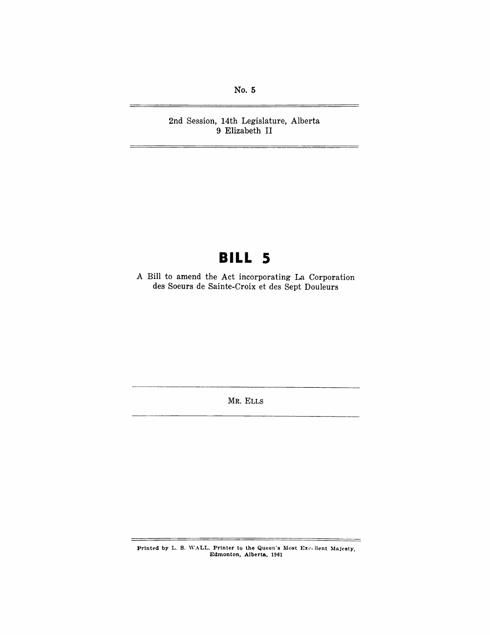No. 5

2nd Session, 14th Legislature, Alberta 9 Elizabeth II

# **BILL 5**

A Bill to amend the Act incorporating La Corporation des Soeurs de Sainte-Croix et des Sept Douleurs

MR. ELLS

Printed by L. S. WALL, Printer to the Queen's Most Excellent Majesty, Edmonton, Alberta, 1961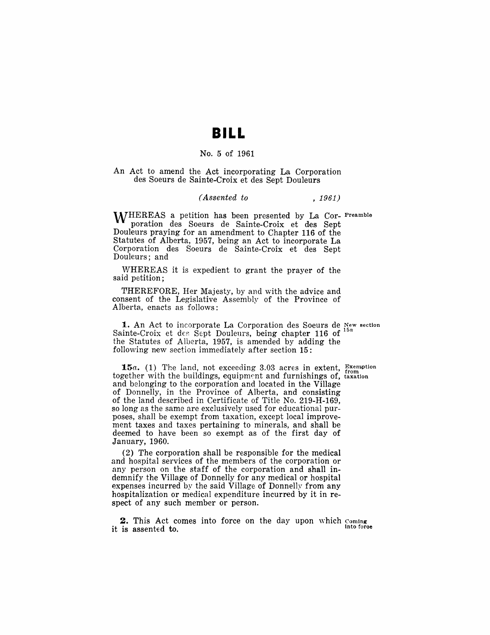### **BILL**

#### No.5 of 1961

An Act to amend the Act incorporating La Corporation des Soeurs de Sainte-Croix et des Sept Douleurs

#### *(Assented to* , 1961)

WHEREAS a petition has been presented by La Cor- Preamble poration des Soeurs de Sainte-Croix et des Sept Douleurs praying for an amendment to Chapter 116 of the Statutes of Alberta, 1957, being an Act to incorporate La Corporation des Soeurs de Sainte-Croix et des Sept Douleurs; and

WHEREAS it is expedient to grant the prayer of the said petition;

THEREFORE, Her Majesty, by and with the advice and consent of the Legislative Assembly of the Province of Alberta, enacts as follows:

1. An Act to incorporate La Corporation des Soeurs de New section<br>into Croix at des Sept. Doulours, being shorter 116 of <sup>15a</sup> Sainte-Croix et des Sept Douleurs, being chapter 116 of the Statutes of Alberta, 1957, is amended by adding the following new section immediately after section 15:

15a. (1) The land, not exceeding 3.03 acres in extent, **Examption** together with the buildings, equipment and furnishings of, taxation and belonging to the corporation and located in the Village of Donnelly, in the Province of Alberta, and consisting of the land described in Certificate of Title No. 219-H-169, so long as the same are exclusively used for educational purposes, shall be exempt from taxation, except local improvement taxes and taxes pertaining to minerals, and shall be deemed to have been so exempt as of the first day of January, 1960.

(2) The corporation shall be responsible for the medical and hospital services of the members of the corporation or any person on the staff of the corporation and shall indemnify the Village of Donnelly for any medical or hospital expenses incurred by the said Village of Donnelly from any hospitalization or medical expenditure incurred by it in respect of any such member or person.

2. This Act comes into force on the day upon which Coming it is assented to. Into force